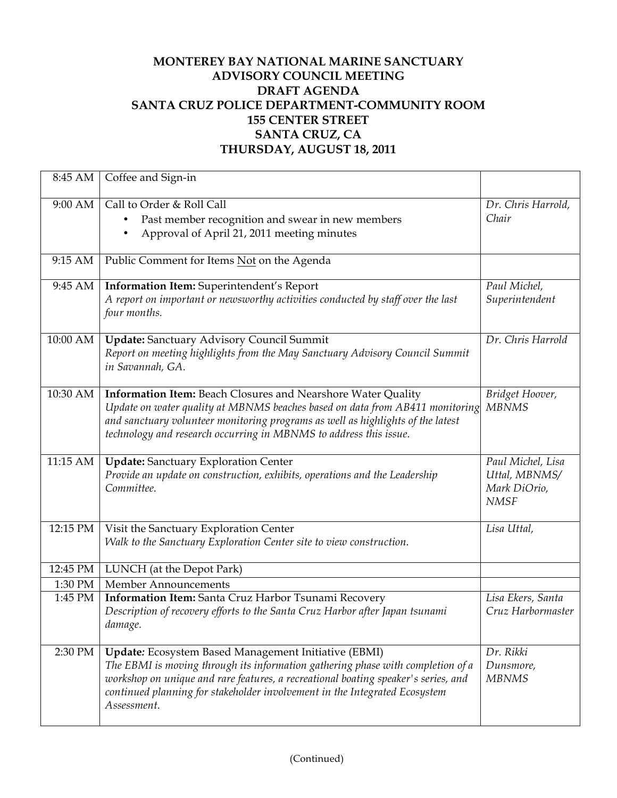## **MONTEREY BAY NATIONAL MARINE SANCTUARY ADVISORY COUNCIL MEETING DRAFT AGENDA SANTA CRUZ POLICE DEPARTMENT-COMMUNITY ROOM 155 CENTER STREET SANTA CRUZ, CA THURSDAY, AUGUST 18, 2011**

| 8:45 AM  | Coffee and Sign-in                                                                                                                                                                                                                                                                                                         |                                                                   |
|----------|----------------------------------------------------------------------------------------------------------------------------------------------------------------------------------------------------------------------------------------------------------------------------------------------------------------------------|-------------------------------------------------------------------|
| 9:00 AM  | Call to Order & Roll Call<br>Past member recognition and swear in new members<br>Approval of April 21, 2011 meeting minutes                                                                                                                                                                                                | Dr. Chris Harrold,<br>Chair                                       |
| 9:15 AM  | Public Comment for Items Not on the Agenda                                                                                                                                                                                                                                                                                 |                                                                   |
| 9:45 AM  | Information Item: Superintendent's Report<br>A report on important or newsworthy activities conducted by staff over the last<br>four months.                                                                                                                                                                               | Paul Michel,<br>Superintendent                                    |
| 10:00 AM | <b>Update:</b> Sanctuary Advisory Council Summit<br>Report on meeting highlights from the May Sanctuary Advisory Council Summit<br>in Savannah, GA.                                                                                                                                                                        | Dr. Chris Harrold                                                 |
| 10:30 AM | Information Item: Beach Closures and Nearshore Water Quality<br>Update on water quality at MBNMS beaches based on data from AB411 monitoring<br>and sanctuary volunteer monitoring programs as well as highlights of the latest<br>technology and research occurring in MBNMS to address this issue.                       | Bridget Hoover,<br><b>MBNMS</b>                                   |
| 11:15 AM | <b>Update:</b> Sanctuary Exploration Center<br>Provide an update on construction, exhibits, operations and the Leadership<br>Committee.                                                                                                                                                                                    | Paul Michel, Lisa<br>Uttal, MBNMS/<br>Mark DiOrio,<br><b>NMSF</b> |
| 12:15 PM | Visit the Sanctuary Exploration Center<br>Walk to the Sanctuary Exploration Center site to view construction.                                                                                                                                                                                                              | Lisa Uttal,                                                       |
| 12:45 PM | LUNCH (at the Depot Park)                                                                                                                                                                                                                                                                                                  |                                                                   |
| 1:30 PM  | Member Announcements                                                                                                                                                                                                                                                                                                       |                                                                   |
| 1:45 PM  | Information Item: Santa Cruz Harbor Tsunami Recovery<br>Description of recovery efforts to the Santa Cruz Harbor after Japan tsunami<br>damage.                                                                                                                                                                            | Lisa Ekers, Santa<br>Cruz Harbormaster                            |
| 2:30 PM  | Update: Ecosystem Based Management Initiative (EBMI)<br>The EBMI is moving through its information gathering phase with completion of a<br>workshop on unique and rare features, a recreational boating speaker's series, and<br>continued planning for stakeholder involvement in the Integrated Ecosystem<br>Assessment. | Dr. Rikki<br>Dunsmore,<br><b>MBNMS</b>                            |